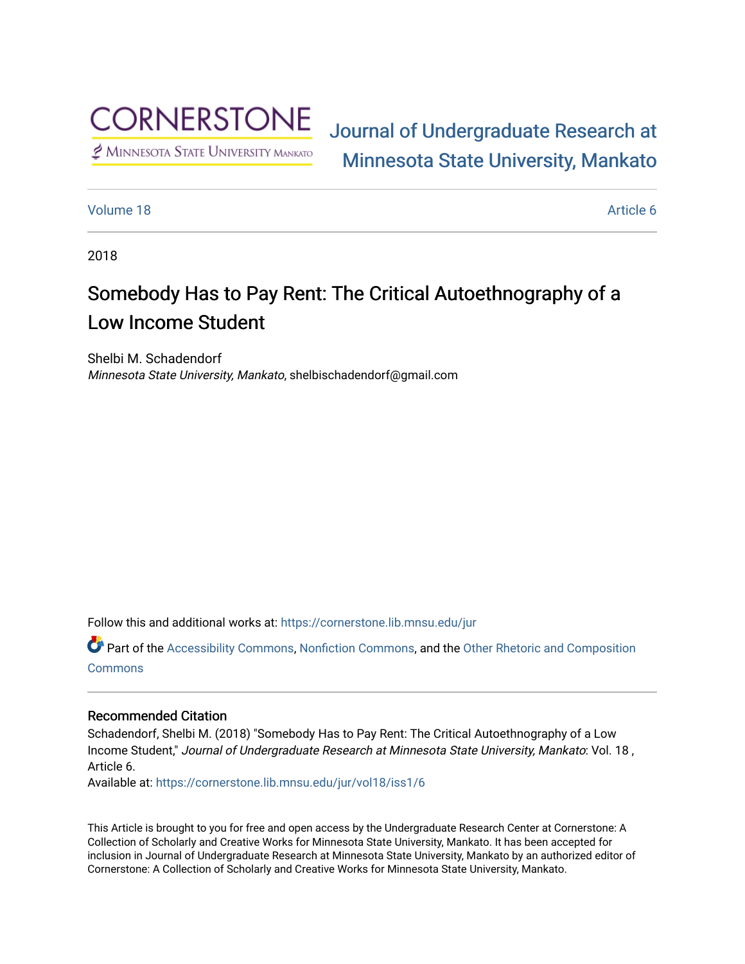

# [Journal of Undergraduate Research at](https://cornerstone.lib.mnsu.edu/jur)  [Minnesota State University, Mankato](https://cornerstone.lib.mnsu.edu/jur)

# [Volume 18](https://cornerstone.lib.mnsu.edu/jur/vol18) Article 6

2018

# Somebody Has to Pay Rent: The Critical Autoethnography of a Low Income Student

Shelbi M. Schadendorf Minnesota State University, Mankato, shelbischadendorf@gmail.com

Follow this and additional works at: [https://cornerstone.lib.mnsu.edu/jur](https://cornerstone.lib.mnsu.edu/jur?utm_source=cornerstone.lib.mnsu.edu%2Fjur%2Fvol18%2Fiss1%2F6&utm_medium=PDF&utm_campaign=PDFCoverPages) 

Part of the [Accessibility Commons,](http://network.bepress.com/hgg/discipline/1318?utm_source=cornerstone.lib.mnsu.edu%2Fjur%2Fvol18%2Fiss1%2F6&utm_medium=PDF&utm_campaign=PDFCoverPages) [Nonfiction Commons,](http://network.bepress.com/hgg/discipline/1152?utm_source=cornerstone.lib.mnsu.edu%2Fjur%2Fvol18%2Fiss1%2F6&utm_medium=PDF&utm_campaign=PDFCoverPages) and the [Other Rhetoric and Composition](http://network.bepress.com/hgg/discipline/576?utm_source=cornerstone.lib.mnsu.edu%2Fjur%2Fvol18%2Fiss1%2F6&utm_medium=PDF&utm_campaign=PDFCoverPages)  **[Commons](http://network.bepress.com/hgg/discipline/576?utm_source=cornerstone.lib.mnsu.edu%2Fjur%2Fvol18%2Fiss1%2F6&utm_medium=PDF&utm_campaign=PDFCoverPages)** 

#### Recommended Citation

Schadendorf, Shelbi M. (2018) "Somebody Has to Pay Rent: The Critical Autoethnography of a Low Income Student," Journal of Undergraduate Research at Minnesota State University, Mankato: Vol. 18 , Article 6.

Available at: [https://cornerstone.lib.mnsu.edu/jur/vol18/iss1/6](https://cornerstone.lib.mnsu.edu/jur/vol18/iss1/6?utm_source=cornerstone.lib.mnsu.edu%2Fjur%2Fvol18%2Fiss1%2F6&utm_medium=PDF&utm_campaign=PDFCoverPages) 

This Article is brought to you for free and open access by the Undergraduate Research Center at Cornerstone: A Collection of Scholarly and Creative Works for Minnesota State University, Mankato. It has been accepted for inclusion in Journal of Undergraduate Research at Minnesota State University, Mankato by an authorized editor of Cornerstone: A Collection of Scholarly and Creative Works for Minnesota State University, Mankato.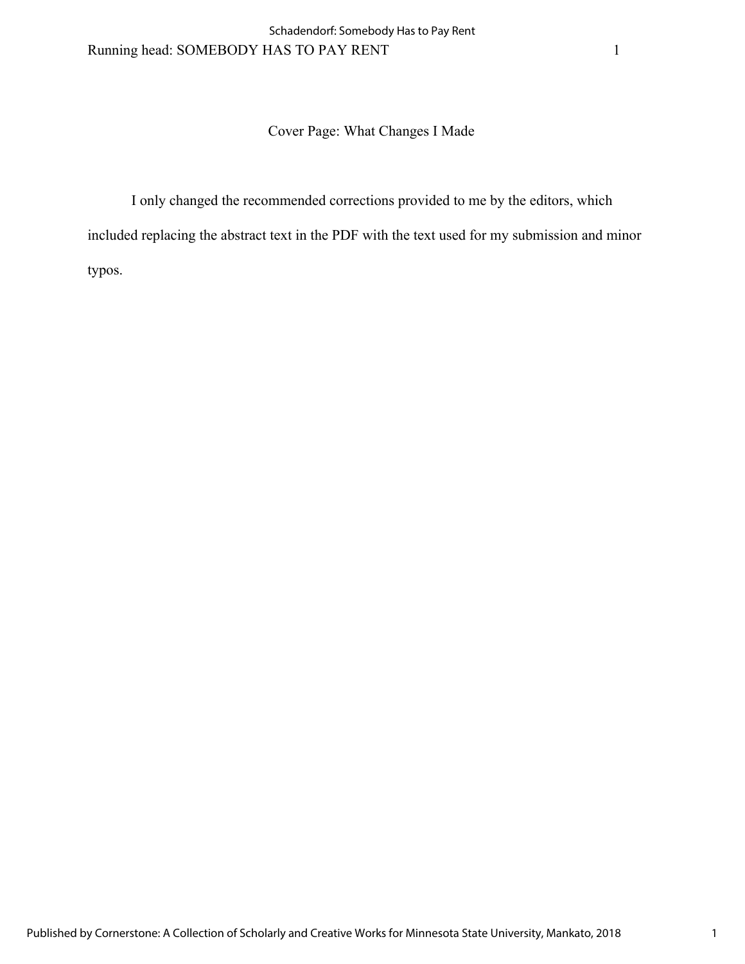# Cover Page: What Changes I Made

I only changed the recommended corrections provided to me by the editors, which included replacing the abstract text in the PDF with the text used for my submission and minor typos.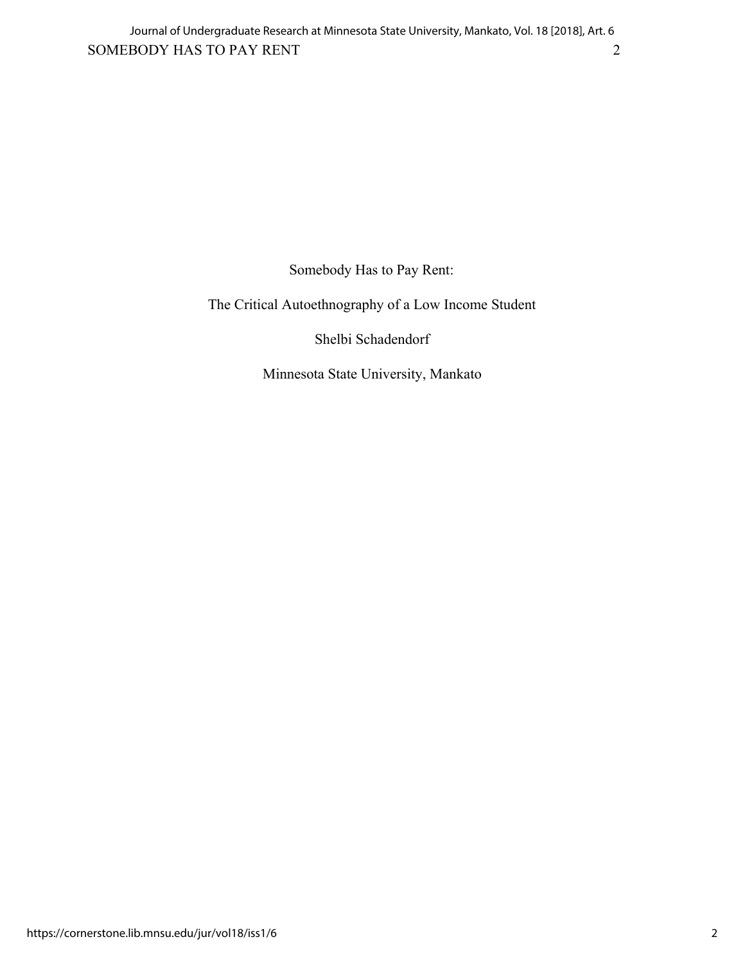Somebody Has to Pay Rent:

The Critical Autoethnography of a Low Income Student

Shelbi Schadendorf

Minnesota State University, Mankato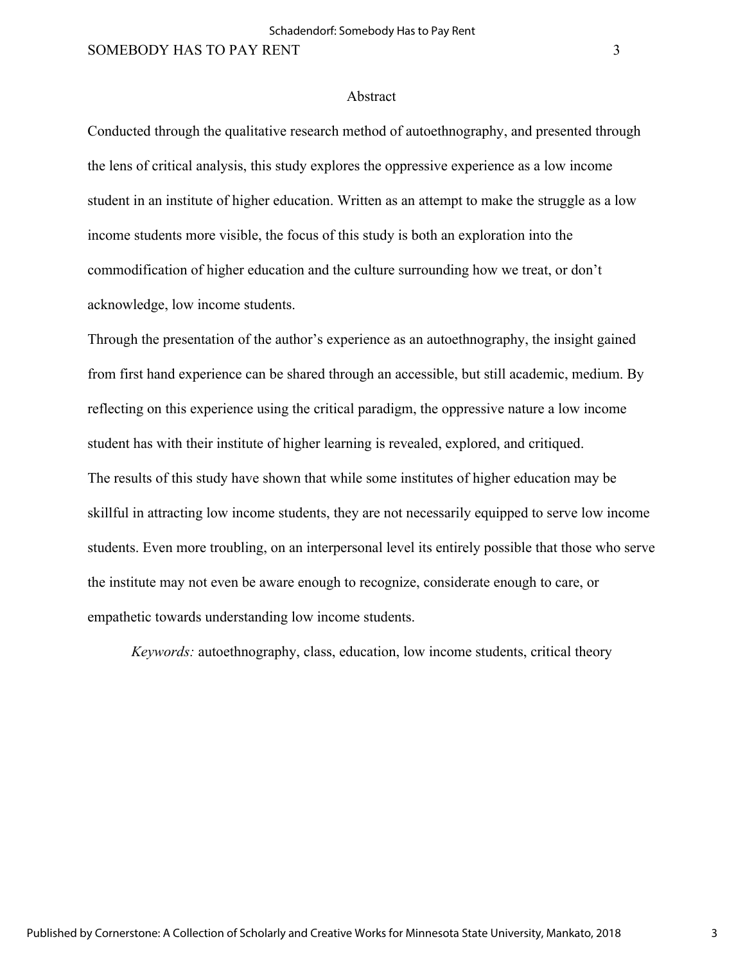#### Abstract

Conducted through the qualitative research method of autoethnography, and presented through the lens of critical analysis, this study explores the oppressive experience as a low income student in an institute of higher education. Written as an attempt to make the struggle as a low income students more visible, the focus of this study is both an exploration into the commodification of higher education and the culture surrounding how we treat, or don't acknowledge, low income students.

Through the presentation of the author's experience as an autoethnography, the insight gained from first hand experience can be shared through an accessible, but still academic, medium. By reflecting on this experience using the critical paradigm, the oppressive nature a low income student has with their institute of higher learning is revealed, explored, and critiqued. The results of this study have shown that while some institutes of higher education may be skillful in attracting low income students, they are not necessarily equipped to serve low income students. Even more troubling, on an interpersonal level its entirely possible that those who serve the institute may not even be aware enough to recognize, considerate enough to care, or empathetic towards understanding low income students.

*Keywords:* autoethnography, class, education, low income students, critical theory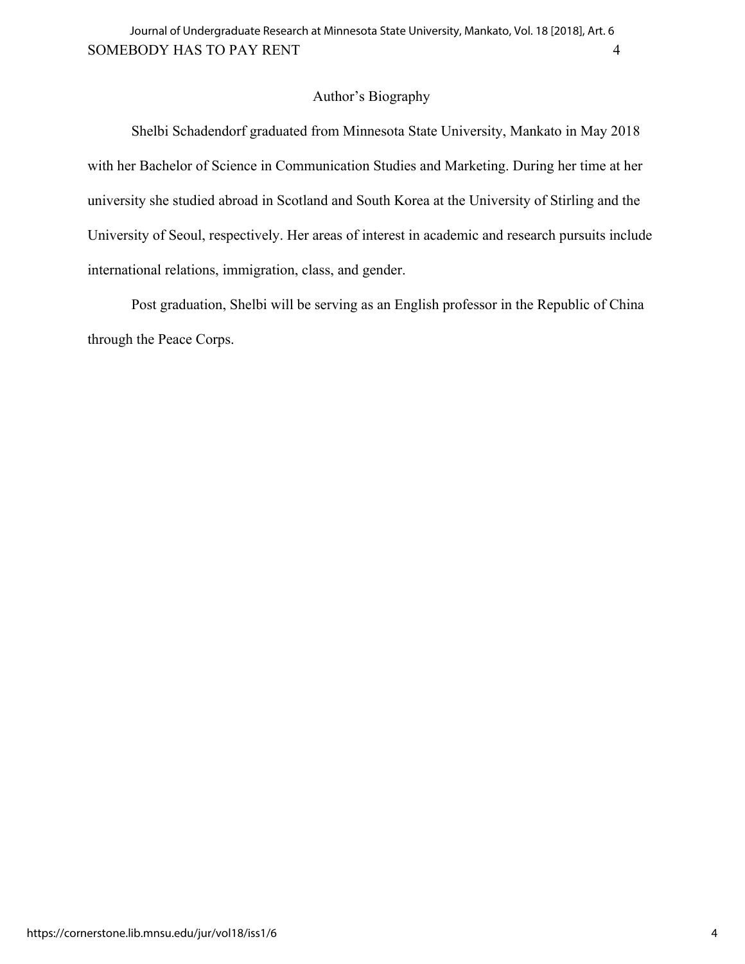# Author's Biography

Shelbi Schadendorf graduated from Minnesota State University, Mankato in May 2018 with her Bachelor of Science in Communication Studies and Marketing. During her time at her university she studied abroad in Scotland and South Korea at the University of Stirling and the University of Seoul, respectively. Her areas of interest in academic and research pursuits include international relations, immigration, class, and gender.

Post graduation, Shelbi will be serving as an English professor in the Republic of China through the Peace Corps.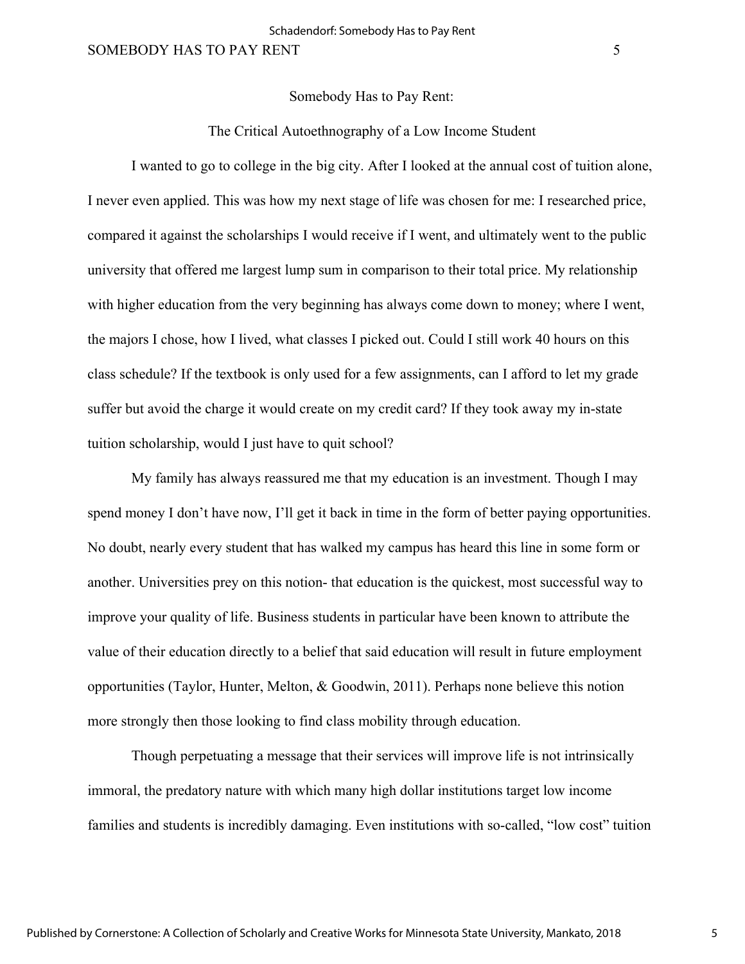#### Somebody Has to Pay Rent:

## The Critical Autoethnography of a Low Income Student

I wanted to go to college in the big city. After I looked at the annual cost of tuition alone, I never even applied. This was how my next stage of life was chosen for me: I researched price, compared it against the scholarships I would receive if I went, and ultimately went to the public university that offered me largest lump sum in comparison to their total price. My relationship with higher education from the very beginning has always come down to money; where I went, the majors I chose, how I lived, what classes I picked out. Could I still work 40 hours on this class schedule? If the textbook is only used for a few assignments, can I afford to let my grade suffer but avoid the charge it would create on my credit card? If they took away my in-state tuition scholarship, would I just have to quit school?

My family has always reassured me that my education is an investment. Though I may spend money I don't have now, I'll get it back in time in the form of better paying opportunities. No doubt, nearly every student that has walked my campus has heard this line in some form or another. Universities prey on this notion- that education is the quickest, most successful way to improve your quality of life. Business students in particular have been known to attribute the value of their education directly to a belief that said education will result in future employment opportunities (Taylor, Hunter, Melton, & Goodwin, 2011). Perhaps none believe this notion more strongly then those looking to find class mobility through education.

Though perpetuating a message that their services will improve life is not intrinsically immoral, the predatory nature with which many high dollar institutions target low income families and students is incredibly damaging. Even institutions with so-called, "low cost" tuition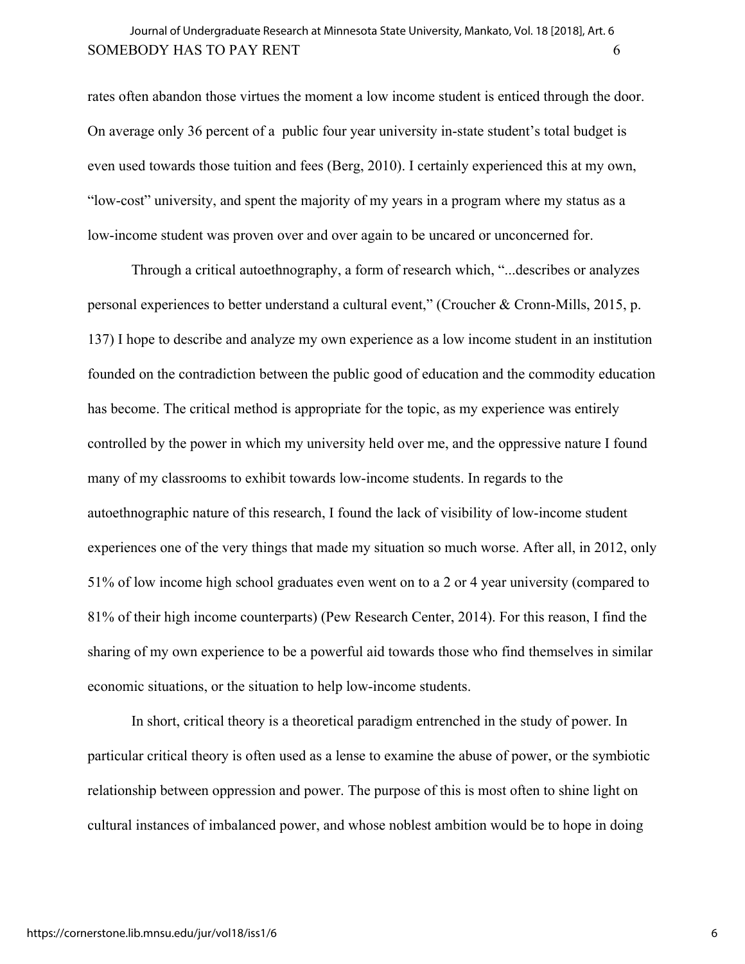# SOMEBODY HAS TO PAY RENT 6 Journal of Undergraduate Research at Minnesota State University, Mankato, Vol. 18 [2018], Art. 6

rates often abandon those virtues the moment a low income student is enticed through the door. On average only 36 percent of a public four year university in-state student's total budget is even used towards those tuition and fees (Berg, 2010). I certainly experienced this at my own, "low-cost" university, and spent the majority of my years in a program where my status as a low-income student was proven over and over again to be uncared or unconcerned for.

Through a critical autoethnography, a form of research which, "...describes or analyzes personal experiences to better understand a cultural event," (Croucher & Cronn-Mills, 2015, p. 137) I hope to describe and analyze my own experience as a low income student in an institution founded on the contradiction between the public good of education and the commodity education has become. The critical method is appropriate for the topic, as my experience was entirely controlled by the power in which my university held over me, and the oppressive nature I found many of my classrooms to exhibit towards low-income students. In regards to the autoethnographic nature of this research, I found the lack of visibility of low-income student experiences one of the very things that made my situation so much worse. After all, in 2012, only 51% of low income high school graduates even went on to a 2 or 4 year university (compared to 81% of their high income counterparts) (Pew Research Center, 2014). For this reason, I find the sharing of my own experience to be a powerful aid towards those who find themselves in similar economic situations, or the situation to help low-income students.

In short, critical theory is a theoretical paradigm entrenched in the study of power. In particular critical theory is often used as a lense to examine the abuse of power, or the symbiotic relationship between oppression and power. The purpose of this is most often to shine light on cultural instances of imbalanced power, and whose noblest ambition would be to hope in doing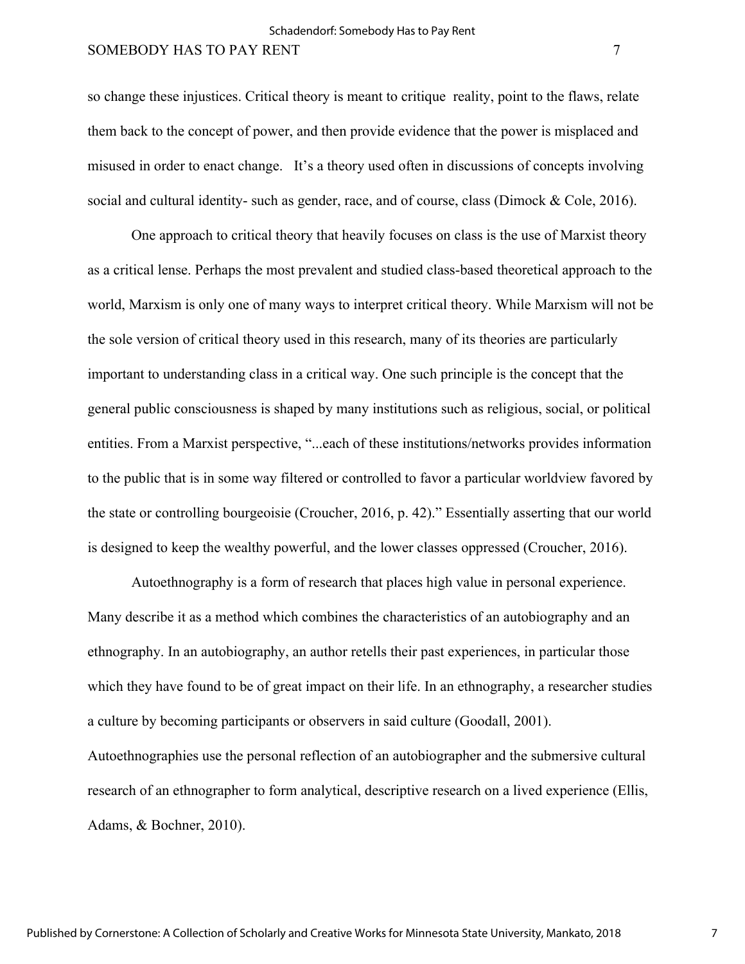## Schadendorf: Somebody Has to Pay Rent

# SOMEBODY HAS TO PAY RENT 7 7

so change these injustices. Critical theory is meant to critique reality, point to the flaws, relate them back to the concept of power, and then provide evidence that the power is misplaced and misused in order to enact change. It's a theory used often in discussions of concepts involving social and cultural identity- such as gender, race, and of course, class (Dimock & Cole, 2016).

One approach to critical theory that heavily focuses on class is the use of Marxist theory as a critical lense. Perhaps the most prevalent and studied class-based theoretical approach to the world, Marxism is only one of many ways to interpret critical theory. While Marxism will not be the sole version of critical theory used in this research, many of its theories are particularly important to understanding class in a critical way. One such principle is the concept that the general public consciousness is shaped by many institutions such as religious, social, or political entities. From a Marxist perspective, "...each of these institutions/networks provides information to the public that is in some way filtered or controlled to favor a particular worldview favored by the state or controlling bourgeoisie (Croucher, 2016, p. 42)." Essentially asserting that our world is designed to keep the wealthy powerful, and the lower classes oppressed (Croucher, 2016).

Autoethnography is a form of research that places high value in personal experience. Many describe it as a method which combines the characteristics of an autobiography and an ethnography. In an autobiography, an author retells their past experiences, in particular those which they have found to be of great impact on their life. In an ethnography, a researcher studies a culture by becoming participants or observers in said culture (Goodall, 2001). Autoethnographies use the personal reflection of an autobiographer and the submersive cultural research of an ethnographer to form analytical, descriptive research on a lived experience (Ellis, Adams, & Bochner, 2010).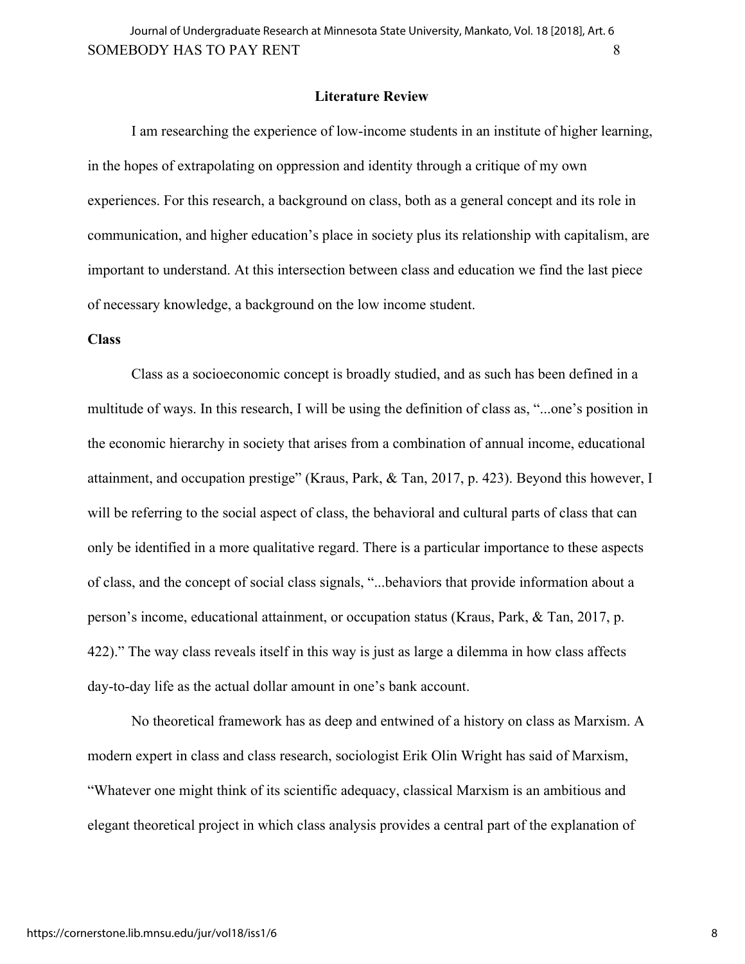#### **Literature Review**

I am researching the experience of low-income students in an institute of higher learning, in the hopes of extrapolating on oppression and identity through a critique of my own experiences. For this research, a background on class, both as a general concept and its role in communication, and higher education's place in society plus its relationship with capitalism, are important to understand. At this intersection between class and education we find the last piece of necessary knowledge, a background on the low income student.

#### **Class**

Class as a socioeconomic concept is broadly studied, and as such has been defined in a multitude of ways. In this research, I will be using the definition of class as, "...one's position in the economic hierarchy in society that arises from a combination of annual income, educational attainment, and occupation prestige" (Kraus, Park, & Tan, 2017, p. 423). Beyond this however, I will be referring to the social aspect of class, the behavioral and cultural parts of class that can only be identified in a more qualitative regard. There is a particular importance to these aspects of class, and the concept of social class signals, "...behaviors that provide information about a person's income, educational attainment, or occupation status (Kraus, Park, & Tan, 2017, p. 422)." The way class reveals itself in this way is just as large a dilemma in how class affects day-to-day life as the actual dollar amount in one's bank account.

No theoretical framework has as deep and entwined of a history on class as Marxism. A modern expert in class and class research, sociologist Erik Olin Wright has said of Marxism, "Whatever one might think of its scientific adequacy, classical Marxism is an ambitious and elegant theoretical project in which class analysis provides a central part of the explanation of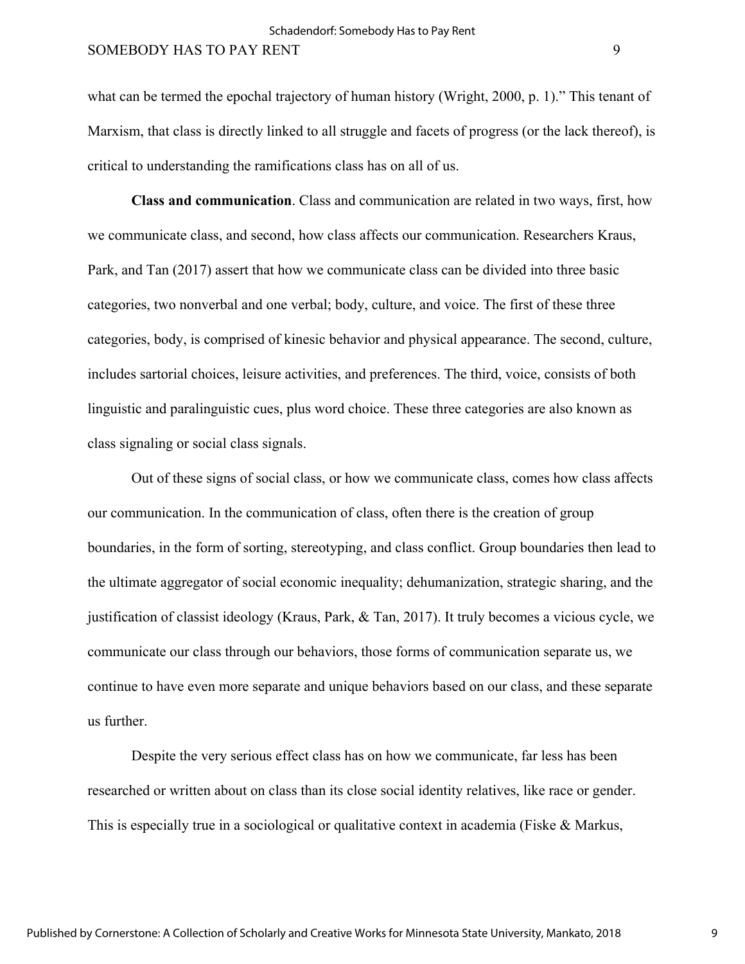what can be termed the epochal trajectory of human history (Wright, 2000, p. 1)." This tenant of Marxism, that class is directly linked to all struggle and facets of progress (or the lack thereof), is critical to understanding the ramifications class has on all of us.

**Class and communication**. Class and communication are related in two ways, first, how we communicate class, and second, how class affects our communication. Researchers Kraus, Park, and Tan (2017) assert that how we communicate class can be divided into three basic categories, two nonverbal and one verbal; body, culture, and voice. The first of these three categories, body, is comprised of kinesic behavior and physical appearance. The second, culture, includes sartorial choices, leisure activities, and preferences. The third, voice, consists of both linguistic and paralinguistic cues, plus word choice. These three categories are also known as class signaling or social class signals.

Out of these signs of social class, or how we communicate class, comes how class affects our communication. In the communication of class, often there is the creation of group boundaries, in the form of sorting, stereotyping, and class conflict. Group boundaries then lead to the ultimate aggregator of social economic inequality; dehumanization, strategic sharing, and the justification of classist ideology (Kraus, Park, & Tan, 2017). It truly becomes a vicious cycle, we communicate our class through our behaviors, those forms of communication separate us, we continue to have even more separate and unique behaviors based on our class, and these separate us further.

Despite the very serious effect class has on how we communicate, far less has been researched or written about on class than its close social identity relatives, like race or gender. This is especially true in a sociological or qualitative context in academia (Fiske & Markus,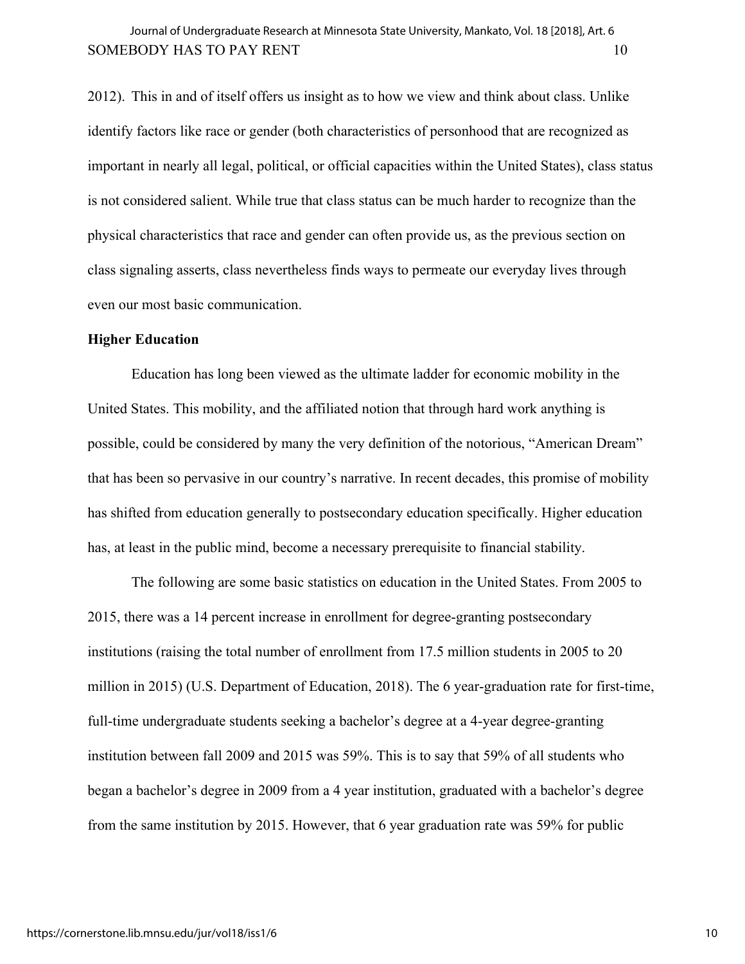2012). This in and of itself offers us insight as to how we view and think about class. Unlike identify factors like race or gender (both characteristics of personhood that are recognized as important in nearly all legal, political, or official capacities within the United States), class status is not considered salient. While true that class status can be much harder to recognize than the physical characteristics that race and gender can often provide us, as the previous section on class signaling asserts, class nevertheless finds ways to permeate our everyday lives through even our most basic communication.

#### **Higher Education**

Education has long been viewed as the ultimate ladder for economic mobility in the United States. This mobility, and the affiliated notion that through hard work anything is possible, could be considered by many the very definition of the notorious, "American Dream" that has been so pervasive in our country's narrative. In recent decades, this promise of mobility has shifted from education generally to postsecondary education specifically. Higher education has, at least in the public mind, become a necessary prerequisite to financial stability.

The following are some basic statistics on education in the United States. From 2005 to 2015, there was a 14 percent increase in enrollment for degree-granting postsecondary institutions (raising the total number of enrollment from 17.5 million students in 2005 to 20 million in 2015) (U.S. Department of Education, 2018). The 6 year-graduation rate for first-time, full-time undergraduate students seeking a bachelor's degree at a 4-year degree-granting institution between fall 2009 and 2015 was 59%. This is to say that 59% of all students who began a bachelor's degree in 2009 from a 4 year institution, graduated with a bachelor's degree from the same institution by 2015. However, that 6 year graduation rate was 59% for public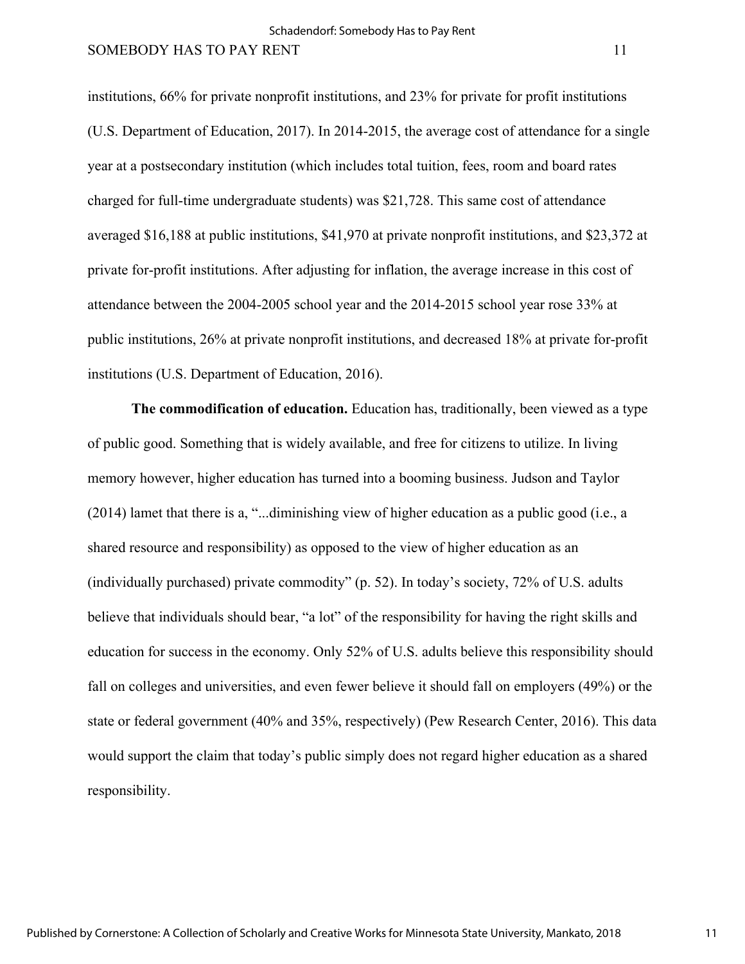institutions, 66% for private nonprofit institutions, and 23% for private for profit institutions (U.S. Department of Education, 2017). In 2014-2015, the average cost of attendance for a single year at a postsecondary institution (which includes total tuition, fees, room and board rates charged for full-time undergraduate students) was \$21,728. This same cost of attendance averaged \$16,188 at public institutions, \$41,970 at private nonprofit institutions, and \$23,372 at private for-profit institutions. After adjusting for inflation, the average increase in this cost of attendance between the 2004-2005 school year and the 2014-2015 school year rose 33% at public institutions, 26% at private nonprofit institutions, and decreased 18% at private for-profit institutions (U.S. Department of Education, 2016).

**The commodification of education.** Education has, traditionally, been viewed as a type of public good. Something that is widely available, and free for citizens to utilize. In living memory however, higher education has turned into a booming business. Judson and Taylor (2014) lamet that there is a, "...diminishing view of higher education as a public good (i.e., a shared resource and responsibility) as opposed to the view of higher education as an (individually purchased) private commodity" (p. 52). In today's society, 72% of U.S. adults believe that individuals should bear, "a lot" of the responsibility for having the right skills and education for success in the economy. Only 52% of U.S. adults believe this responsibility should fall on colleges and universities, and even fewer believe it should fall on employers (49%) or the state or federal government (40% and 35%, respectively) (Pew Research Center, 2016). This data would support the claim that today's public simply does not regard higher education as a shared responsibility.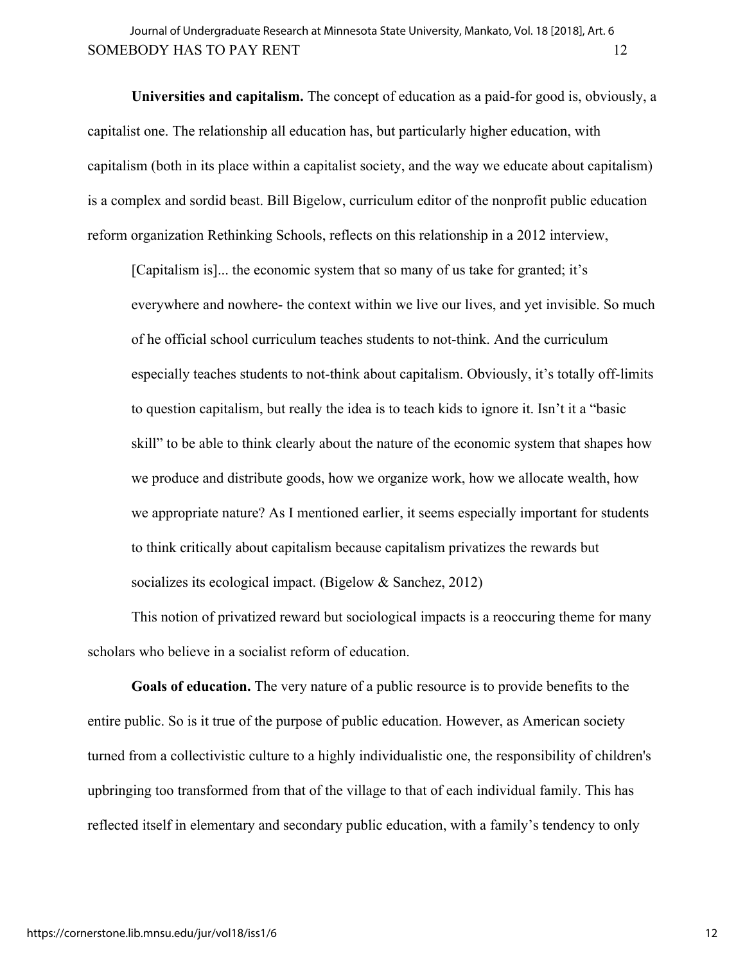**Universities and capitalism.** The concept of education as a paid-for good is, obviously, a capitalist one. The relationship all education has, but particularly higher education, with capitalism (both in its place within a capitalist society, and the way we educate about capitalism) is a complex and sordid beast. Bill Bigelow, curriculum editor of the nonprofit public education reform organization Rethinking Schools, reflects on this relationship in a 2012 interview,

[Capitalism is]... the economic system that so many of us take for granted; it's everywhere and nowhere- the context within we live our lives, and yet invisible. So much of he official school curriculum teaches students to not-think. And the curriculum especially teaches students to not-think about capitalism. Obviously, it's totally off-limits to question capitalism, but really the idea is to teach kids to ignore it. Isn't it a "basic skill" to be able to think clearly about the nature of the economic system that shapes how we produce and distribute goods, how we organize work, how we allocate wealth, how we appropriate nature? As I mentioned earlier, it seems especially important for students to think critically about capitalism because capitalism privatizes the rewards but socializes its ecological impact. (Bigelow & Sanchez, 2012)

This notion of privatized reward but sociological impacts is a reoccuring theme for many scholars who believe in a socialist reform of education.

**Goals of education.** The very nature of a public resource is to provide benefits to the entire public. So is it true of the purpose of public education. However, as American society turned from a collectivistic culture to a highly individualistic one, the responsibility of children's upbringing too transformed from that of the village to that of each individual family. This has reflected itself in elementary and secondary public education, with a family's tendency to only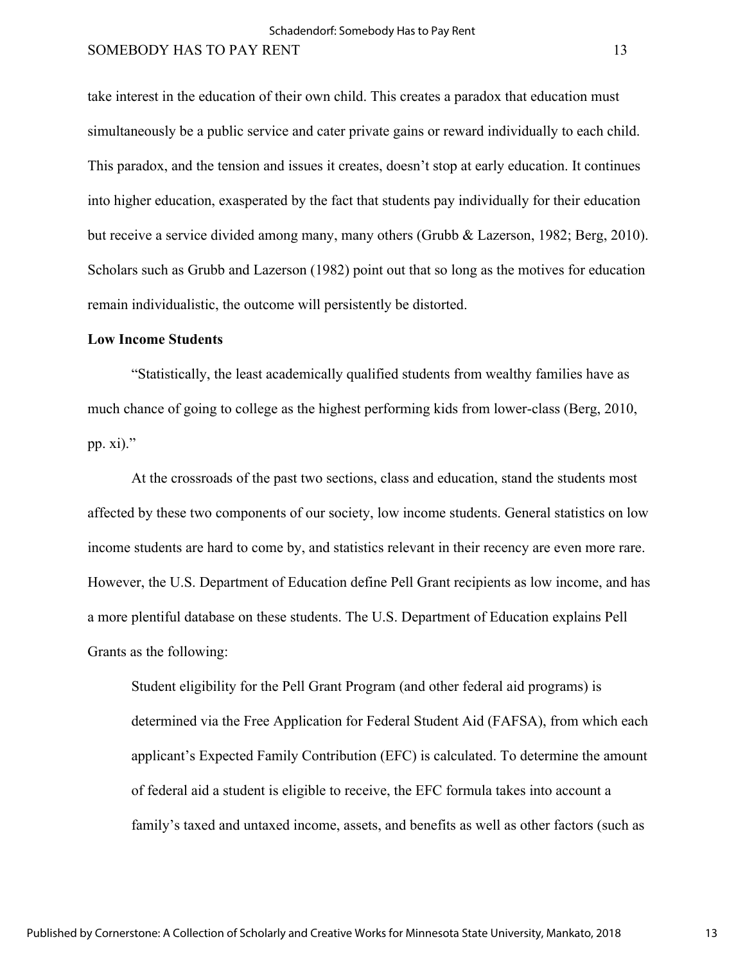take interest in the education of their own child. This creates a paradox that education must simultaneously be a public service and cater private gains or reward individually to each child. This paradox, and the tension and issues it creates, doesn't stop at early education. It continues into higher education, exasperated by the fact that students pay individually for their education but receive a service divided among many, many others (Grubb & Lazerson, 1982; Berg, 2010). Scholars such as Grubb and Lazerson (1982) point out that so long as the motives for education remain individualistic, the outcome will persistently be distorted.

#### **Low Income Students**

"Statistically, the least academically qualified students from wealthy families have as much chance of going to college as the highest performing kids from lower-class (Berg, 2010, pp. xi)."

At the crossroads of the past two sections, class and education, stand the students most affected by these two components of our society, low income students. General statistics on low income students are hard to come by, and statistics relevant in their recency are even more rare. However, the U.S. Department of Education define Pell Grant recipients as low income, and has a more plentiful database on these students. The U.S. Department of Education explains Pell Grants as the following:

Student eligibility for the Pell Grant Program (and other federal aid programs) is determined via the Free Application for Federal Student Aid (FAFSA), from which each applicant's Expected Family Contribution (EFC) is calculated. To determine the amount of federal aid a student is eligible to receive, the EFC formula takes into account a family's taxed and untaxed income, assets, and benefits as well as other factors (such as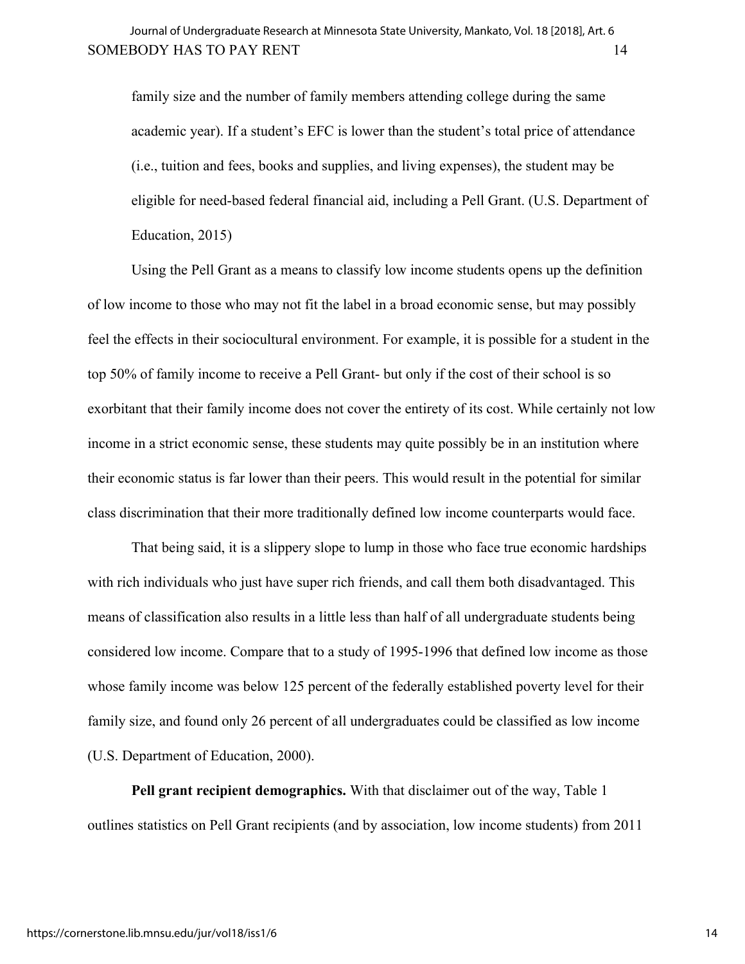family size and the number of family members attending college during the same academic year). If a student's EFC is lower than the student's total price of attendance (i.e., tuition and fees, books and supplies, and living expenses), the student may be eligible for need-based federal financial aid, including a Pell Grant. (U.S. Department of Education, 2015)

Using the Pell Grant as a means to classify low income students opens up the definition of low income to those who may not fit the label in a broad economic sense, but may possibly feel the effects in their sociocultural environment. For example, it is possible for a student in the top 50% of family income to receive a Pell Grant- but only if the cost of their school is so exorbitant that their family income does not cover the entirety of its cost. While certainly not low income in a strict economic sense, these students may quite possibly be in an institution where their economic status is far lower than their peers. This would result in the potential for similar class discrimination that their more traditionally defined low income counterparts would face.

That being said, it is a slippery slope to lump in those who face true economic hardships with rich individuals who just have super rich friends, and call them both disadvantaged. This means of classification also results in a little less than half of all undergraduate students being considered low income. Compare that to a study of 1995-1996 that defined low income as those whose family income was below 125 percent of the federally established poverty level for their family size, and found only 26 percent of all undergraduates could be classified as low income (U.S. Department of Education, 2000).

**Pell grant recipient demographics.** With that disclaimer out of the way, Table 1 outlines statistics on Pell Grant recipients (and by association, low income students) from 2011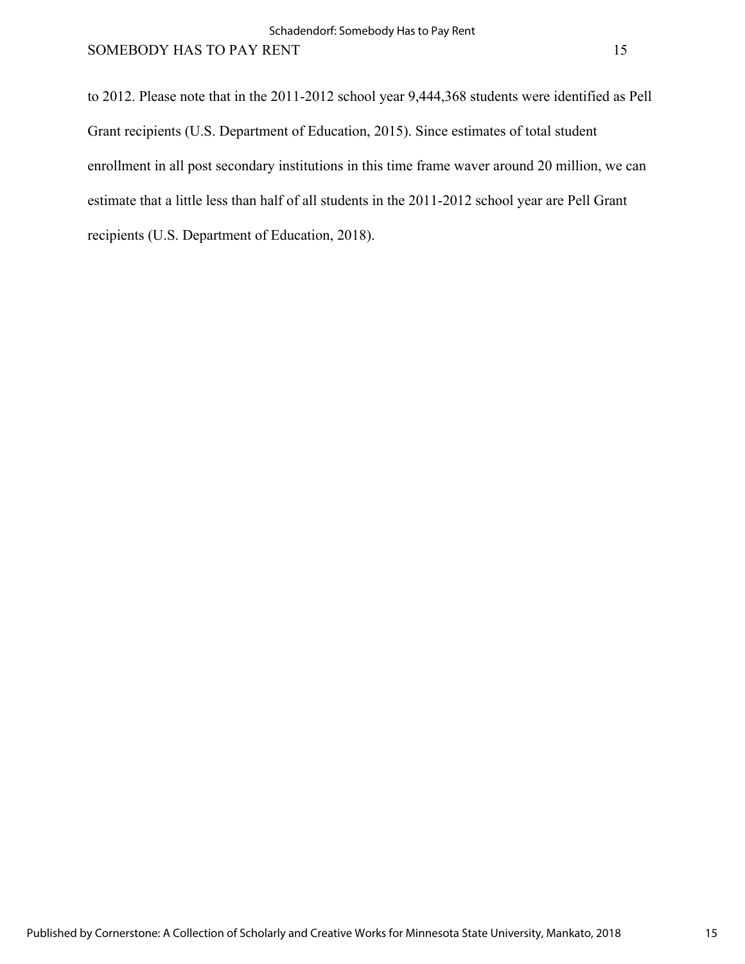to 2012. Please note that in the 2011-2012 school year 9,444,368 students were identified as Pell Grant recipients (U.S. Department of Education, 2015). Since estimates of total student enrollment in all post secondary institutions in this time frame waver around 20 million, we can estimate that a little less than half of all students in the 2011-2012 school year are Pell Grant recipients (U.S. Department of Education, 2018).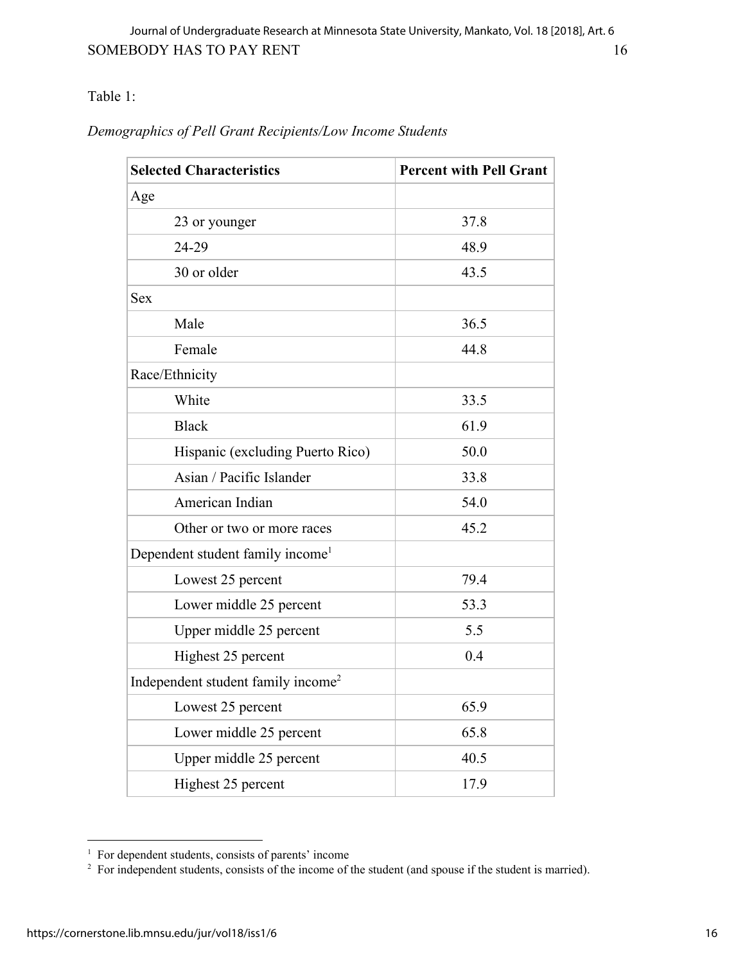Table 1:

| <b>Selected Characteristics</b>                | <b>Percent with Pell Grant</b> |
|------------------------------------------------|--------------------------------|
| Age                                            |                                |
| 23 or younger                                  | 37.8                           |
| 24-29                                          | 48.9                           |
| 30 or older                                    | 43.5                           |
| <b>Sex</b>                                     |                                |
| Male                                           | 36.5                           |
| Female                                         | 44.8                           |
| Race/Ethnicity                                 |                                |
| White                                          | 33.5                           |
| <b>Black</b>                                   | 61.9                           |
| Hispanic (excluding Puerto Rico)               | 50.0                           |
| Asian / Pacific Islander                       | 33.8                           |
| American Indian                                | 54.0                           |
| Other or two or more races                     | 45.2                           |
| Dependent student family income <sup>1</sup>   |                                |
| Lowest 25 percent                              | 79.4                           |
| Lower middle 25 percent                        | 53.3                           |
| Upper middle 25 percent                        | 5.5                            |
| Highest 25 percent                             | 0.4                            |
| Independent student family income <sup>2</sup> |                                |
| Lowest 25 percent                              | 65.9                           |
| Lower middle 25 percent                        | 65.8                           |
| Upper middle 25 percent                        | 40.5                           |
| Highest 25 percent                             | 17.9                           |

<sup>&</sup>lt;sup>1</sup> For dependent students, consists of parents' income<br><sup>2</sup> For independent students, consists of the income of the student (and spouse if the student is married).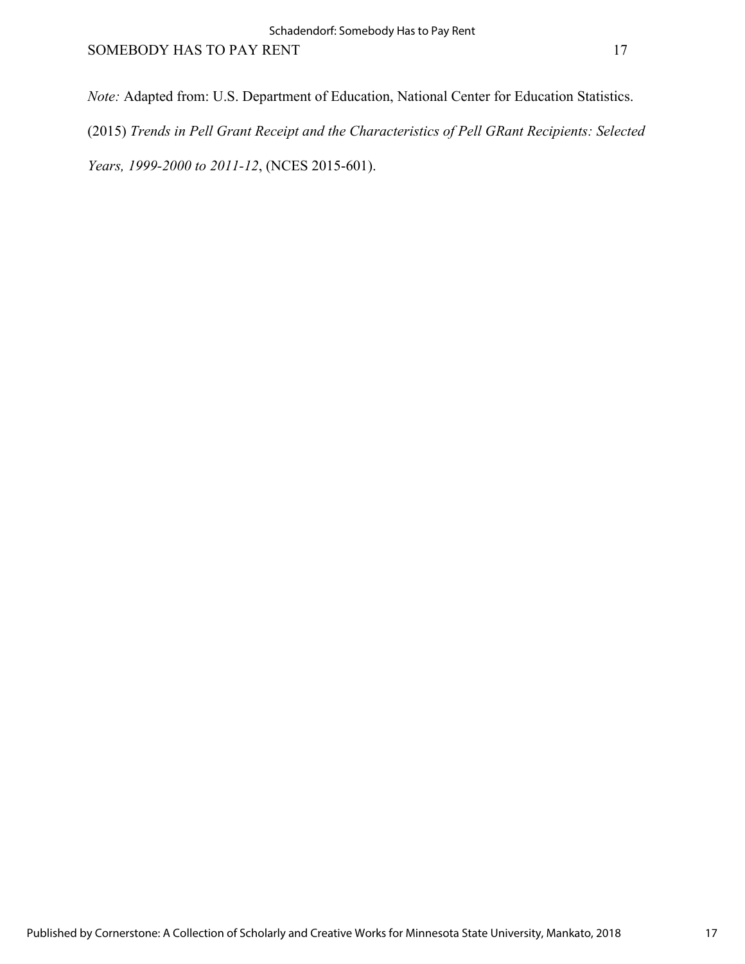*Note:* Adapted from: U.S. Department of Education, National Center for Education Statistics. (2015) *Trends in Pell Grant Receipt and the Characteristics of Pell GRant Recipients: Selected Years, 1999-2000 to 2011-12*, (NCES 2015-601).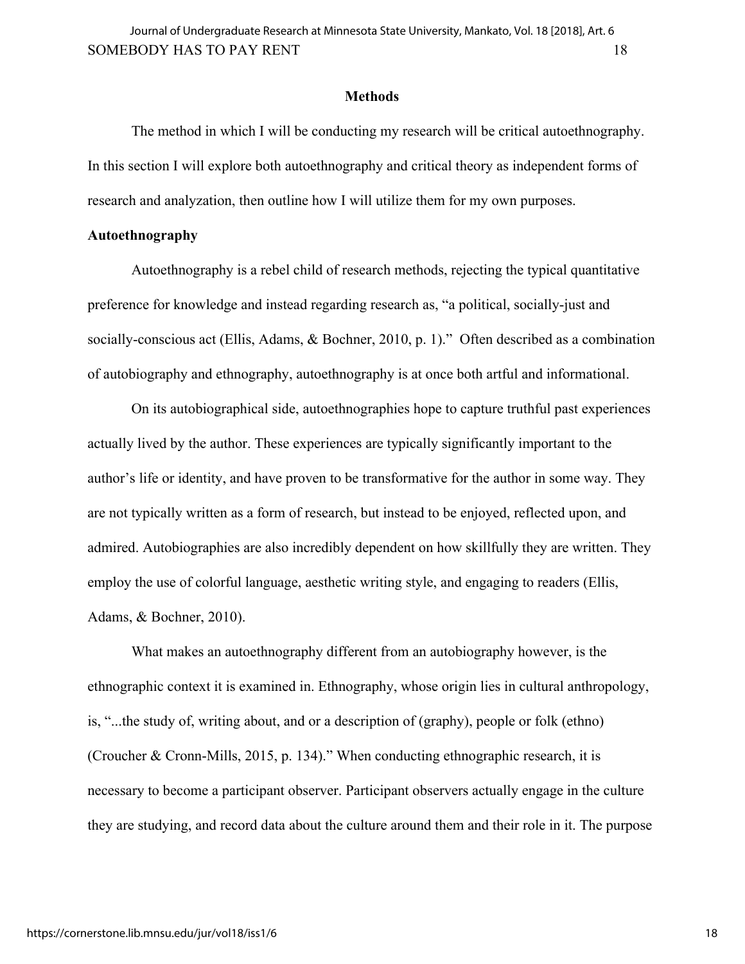#### **Methods**

The method in which I will be conducting my research will be critical autoethnography. In this section I will explore both autoethnography and critical theory as independent forms of research and analyzation, then outline how I will utilize them for my own purposes.

## **Autoethnography**

Autoethnography is a rebel child of research methods, rejecting the typical quantitative preference for knowledge and instead regarding research as, "a political, socially-just and socially-conscious act (Ellis, Adams, & Bochner, 2010, p. 1)." Often described as a combination of autobiography and ethnography, autoethnography is at once both artful and informational.

On its autobiographical side, autoethnographies hope to capture truthful past experiences actually lived by the author. These experiences are typically significantly important to the author's life or identity, and have proven to be transformative for the author in some way. They are not typically written as a form of research, but instead to be enjoyed, reflected upon, and admired. Autobiographies are also incredibly dependent on how skillfully they are written. They employ the use of colorful language, aesthetic writing style, and engaging to readers (Ellis, Adams, & Bochner, 2010).

What makes an autoethnography different from an autobiography however, is the ethnographic context it is examined in. Ethnography, whose origin lies in cultural anthropology, is, "...the study of, writing about, and or a description of (graphy), people or folk (ethno) (Croucher & Cronn-Mills, 2015, p. 134)." When conducting ethnographic research, it is necessary to become a participant observer. Participant observers actually engage in the culture they are studying, and record data about the culture around them and their role in it. The purpose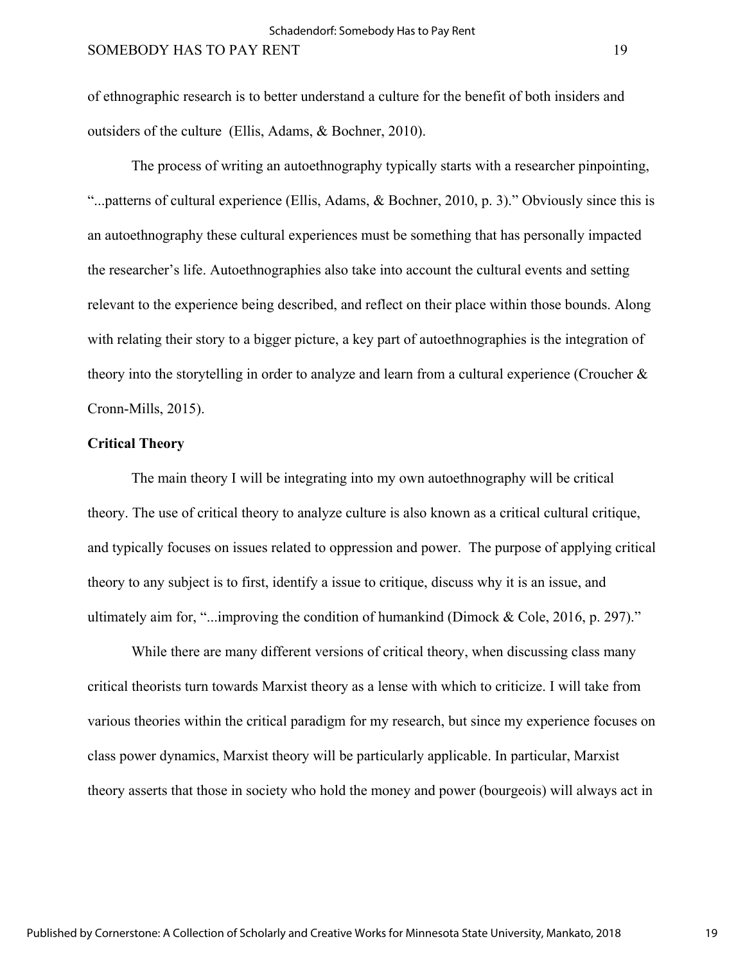of ethnographic research is to better understand a culture for the benefit of both insiders and outsiders of the culture (Ellis, Adams, & Bochner, 2010).

The process of writing an autoethnography typically starts with a researcher pinpointing, "...patterns of cultural experience (Ellis, Adams, & Bochner, 2010, p. 3)." Obviously since this is an autoethnography these cultural experiences must be something that has personally impacted the researcher's life. Autoethnographies also take into account the cultural events and setting relevant to the experience being described, and reflect on their place within those bounds. Along with relating their story to a bigger picture, a key part of autoethnographies is the integration of theory into the storytelling in order to analyze and learn from a cultural experience (Croucher & Cronn-Mills, 2015).

# **Critical Theory**

The main theory I will be integrating into my own autoethnography will be critical theory. The use of critical theory to analyze culture is also known as a critical cultural critique, and typically focuses on issues related to oppression and power. The purpose of applying critical theory to any subject is to first, identify a issue to critique, discuss why it is an issue, and ultimately aim for, "...improving the condition of humankind (Dimock & Cole, 2016, p. 297)."

While there are many different versions of critical theory, when discussing class many critical theorists turn towards Marxist theory as a lense with which to criticize. I will take from various theories within the critical paradigm for my research, but since my experience focuses on class power dynamics, Marxist theory will be particularly applicable. In particular, Marxist theory asserts that those in society who hold the money and power (bourgeois) will always act in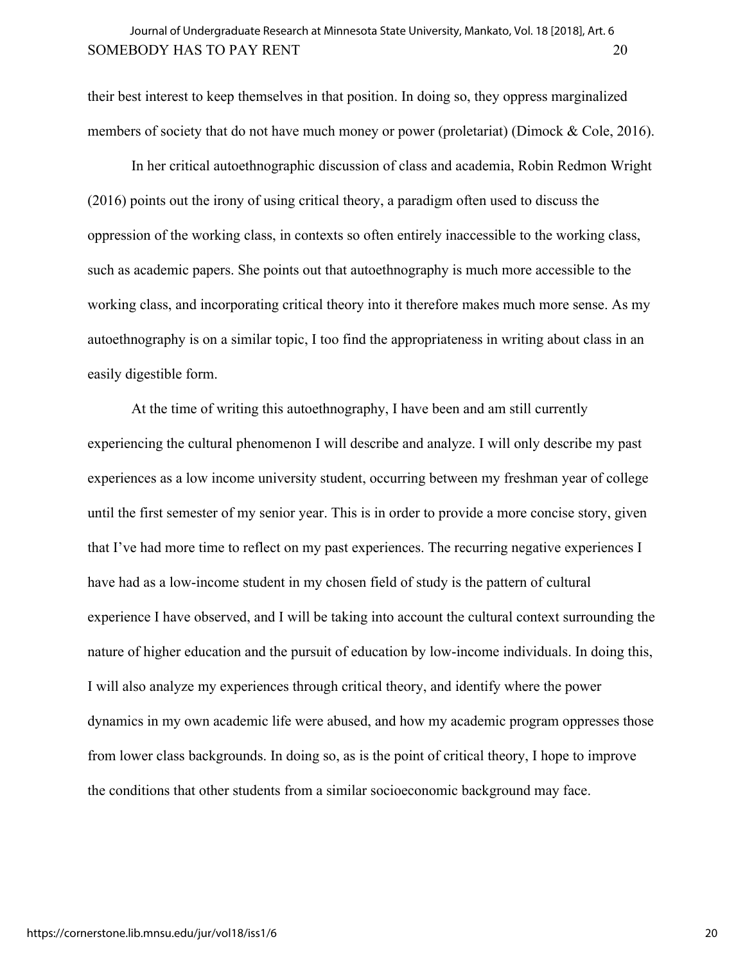# SOMEBODY HAS TO PAY RENT 20 Journal of Undergraduate Research at Minnesota State University, Mankato, Vol. 18 [2018], Art. 6

their best interest to keep themselves in that position. In doing so, they oppress marginalized members of society that do not have much money or power (proletariat) (Dimock & Cole, 2016).

In her critical autoethnographic discussion of class and academia, Robin Redmon Wright (2016) points out the irony of using critical theory, a paradigm often used to discuss the oppression of the working class, in contexts so often entirely inaccessible to the working class, such as academic papers. She points out that autoethnography is much more accessible to the working class, and incorporating critical theory into it therefore makes much more sense. As my autoethnography is on a similar topic, I too find the appropriateness in writing about class in an easily digestible form.

At the time of writing this autoethnography, I have been and am still currently experiencing the cultural phenomenon I will describe and analyze. I will only describe my past experiences as a low income university student, occurring between my freshman year of college until the first semester of my senior year. This is in order to provide a more concise story, given that I've had more time to reflect on my past experiences. The recurring negative experiences I have had as a low-income student in my chosen field of study is the pattern of cultural experience I have observed, and I will be taking into account the cultural context surrounding the nature of higher education and the pursuit of education by low-income individuals. In doing this, I will also analyze my experiences through critical theory, and identify where the power dynamics in my own academic life were abused, and how my academic program oppresses those from lower class backgrounds. In doing so, as is the point of critical theory, I hope to improve the conditions that other students from a similar socioeconomic background may face.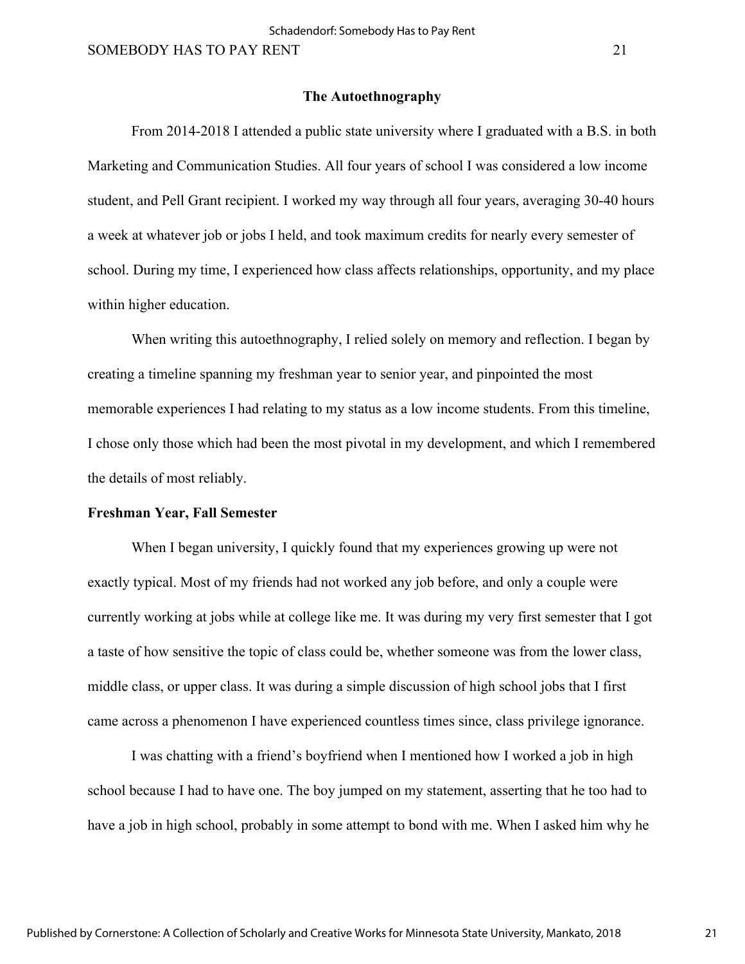## **The Autoethnography**

From 2014-2018 I attended a public state university where I graduated with a B.S. in both Marketing and Communication Studies. All four years of school I was considered a low income student, and Pell Grant recipient. I worked my way through all four years, averaging 30-40 hours a week at whatever job or jobs I held, and took maximum credits for nearly every semester of school. During my time, I experienced how class affects relationships, opportunity, and my place within higher education.

When writing this autoethnography, I relied solely on memory and reflection. I began by creating a timeline spanning my freshman year to senior year, and pinpointed the most memorable experiences I had relating to my status as a low income students. From this timeline, I chose only those which had been the most pivotal in my development, and which I remembered the details of most reliably.

#### **Freshman Year, Fall Semester**

When I began university, I quickly found that my experiences growing up were not exactly typical. Most of my friends had not worked any job before, and only a couple were currently working at jobs while at college like me. It was during my very first semester that I got a taste of how sensitive the topic of class could be, whether someone was from the lower class, middle class, or upper class. It was during a simple discussion of high school jobs that I first came across a phenomenon I have experienced countless times since, class privilege ignorance.

I was chatting with a friend's boyfriend when I mentioned how I worked a job in high school because I had to have one. The boy jumped on my statement, asserting that he too had to have a job in high school, probably in some attempt to bond with me. When I asked him why he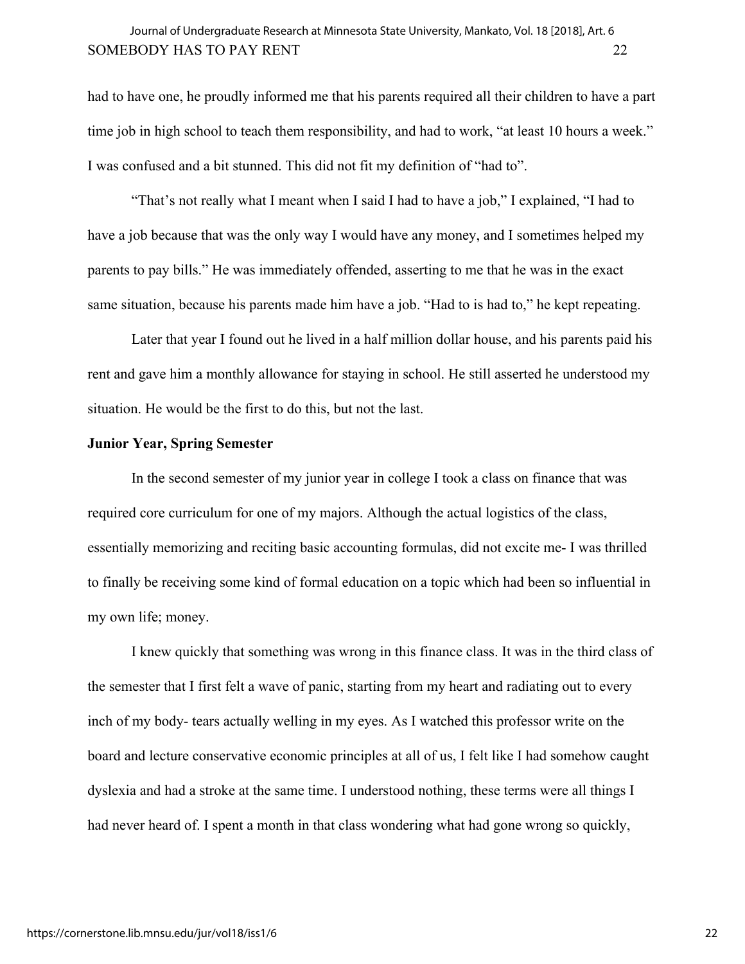# SOMEBODY HAS TO PAY RENT 22 Journal of Undergraduate Research at Minnesota State University, Mankato, Vol. 18 [2018], Art. 6

had to have one, he proudly informed me that his parents required all their children to have a part time job in high school to teach them responsibility, and had to work, "at least 10 hours a week." I was confused and a bit stunned. This did not fit my definition of "had to".

"That's not really what I meant when I said I had to have a job," I explained, "I had to have a job because that was the only way I would have any money, and I sometimes helped my parents to pay bills." He was immediately offended, asserting to me that he was in the exact same situation, because his parents made him have a job. "Had to is had to," he kept repeating.

Later that year I found out he lived in a half million dollar house, and his parents paid his rent and gave him a monthly allowance for staying in school. He still asserted he understood my situation. He would be the first to do this, but not the last.

# **Junior Year, Spring Semester**

In the second semester of my junior year in college I took a class on finance that was required core curriculum for one of my majors. Although the actual logistics of the class, essentially memorizing and reciting basic accounting formulas, did not excite me- I was thrilled to finally be receiving some kind of formal education on a topic which had been so influential in my own life; money.

I knew quickly that something was wrong in this finance class. It was in the third class of the semester that I first felt a wave of panic, starting from my heart and radiating out to every inch of my body- tears actually welling in my eyes. As I watched this professor write on the board and lecture conservative economic principles at all of us, I felt like I had somehow caught dyslexia and had a stroke at the same time. I understood nothing, these terms were all things I had never heard of. I spent a month in that class wondering what had gone wrong so quickly,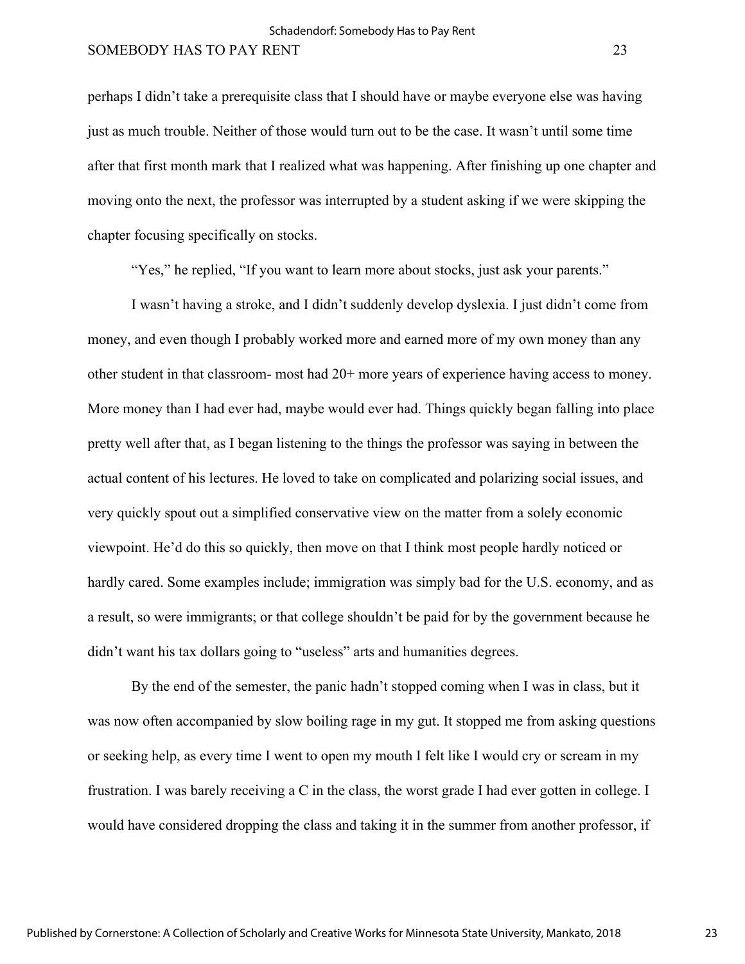perhaps I didn't take a prerequisite class that I should have or maybe everyone else was having just as much trouble. Neither of those would turn out to be the case. It wasn't until some time after that first month mark that I realized what was happening. After finishing up one chapter and moving onto the next, the professor was interrupted by a student asking if we were skipping the chapter focusing specifically on stocks.

"Yes," he replied, "If you want to learn more about stocks, just ask your parents."

I wasn't having a stroke, and I didn't suddenly develop dyslexia. I just didn't come from money, and even though I probably worked more and earned more of my own money than any other student in that classroom- most had 20+ more years of experience having access to money. More money than I had ever had, maybe would ever had. Things quickly began falling into place pretty well after that, as I began listening to the things the professor was saying in between the actual content of his lectures. He loved to take on complicated and polarizing social issues, and very quickly spout out a simplified conservative view on the matter from a solely economic viewpoint. He'd do this so quickly, then move on that I think most people hardly noticed or hardly cared. Some examples include; immigration was simply bad for the U.S. economy, and as a result, so were immigrants; or that college shouldn't be paid for by the government because he didn't want his tax dollars going to "useless" arts and humanities degrees.

 By the end of the semester, the panic hadn't stopped coming when I was in class, but it was now often accompanied by slow boiling rage in my gut. It stopped me from asking questions or seeking help, as every time I went to open my mouth I felt like I would cry or scream in my frustration. I was barely receiving a C in the class, the worst grade I had ever gotten in college. I would have considered dropping the class and taking it in the summer from another professor, if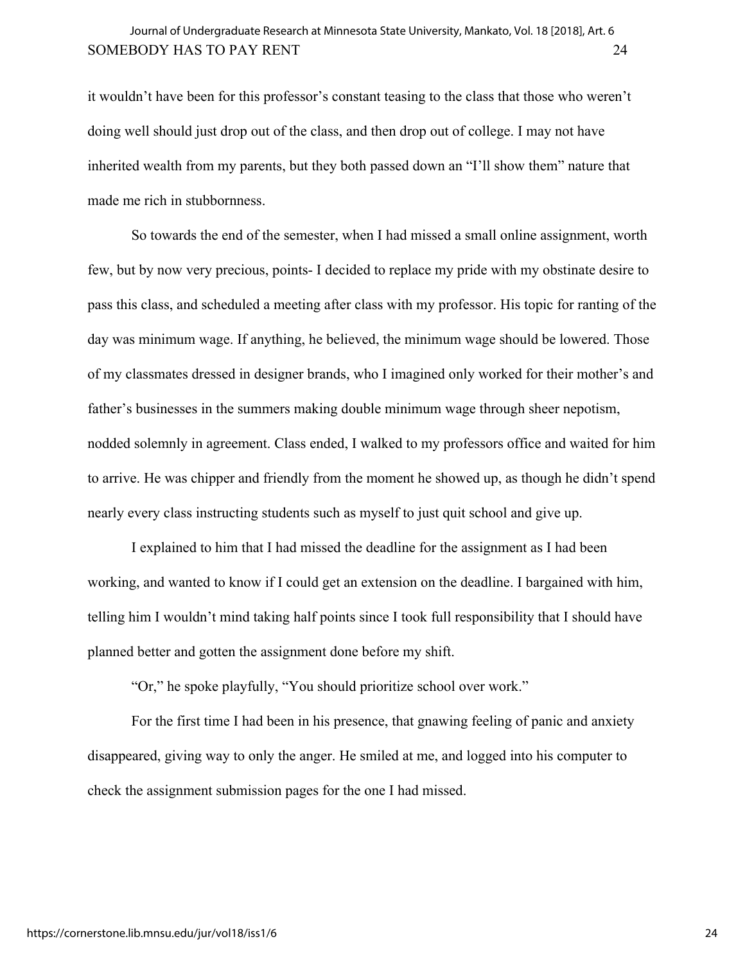it wouldn't have been for this professor's constant teasing to the class that those who weren't doing well should just drop out of the class, and then drop out of college. I may not have inherited wealth from my parents, but they both passed down an "I'll show them" nature that made me rich in stubbornness.

So towards the end of the semester, when I had missed a small online assignment, worth few, but by now very precious, points- I decided to replace my pride with my obstinate desire to pass this class, and scheduled a meeting after class with my professor. His topic for ranting of the day was minimum wage. If anything, he believed, the minimum wage should be lowered. Those of my classmates dressed in designer brands, who I imagined only worked for their mother's and father's businesses in the summers making double minimum wage through sheer nepotism, nodded solemnly in agreement. Class ended, I walked to my professors office and waited for him to arrive. He was chipper and friendly from the moment he showed up, as though he didn't spend nearly every class instructing students such as myself to just quit school and give up.

I explained to him that I had missed the deadline for the assignment as I had been working, and wanted to know if I could get an extension on the deadline. I bargained with him, telling him I wouldn't mind taking half points since I took full responsibility that I should have planned better and gotten the assignment done before my shift.

"Or," he spoke playfully, "You should prioritize school over work."

For the first time I had been in his presence, that gnawing feeling of panic and anxiety disappeared, giving way to only the anger. He smiled at me, and logged into his computer to check the assignment submission pages for the one I had missed.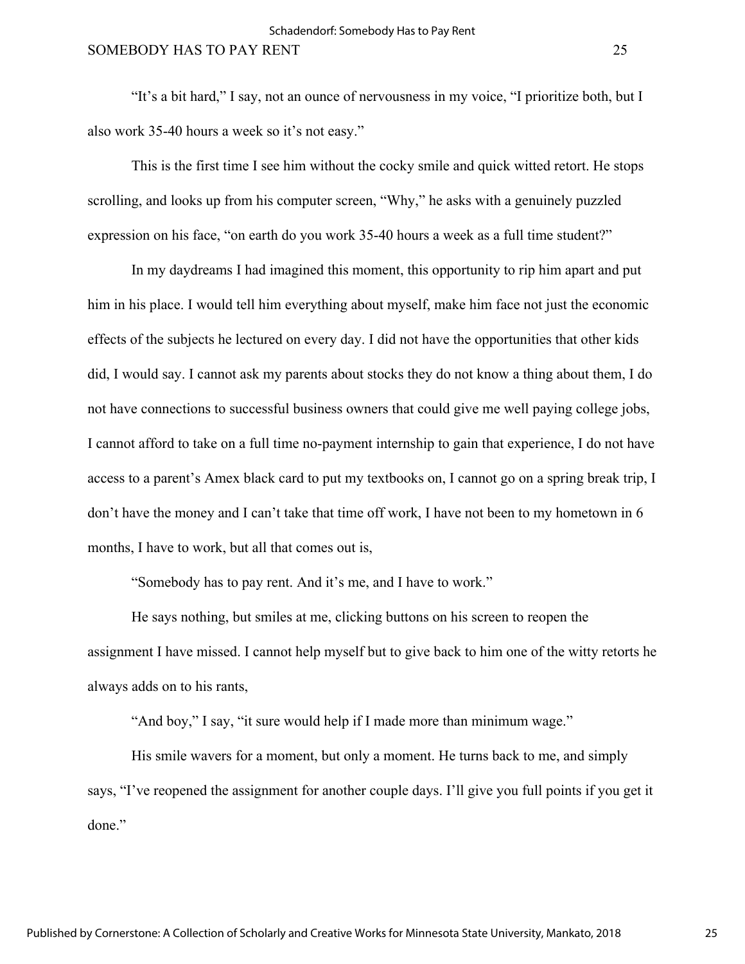"It's a bit hard," I say, not an ounce of nervousness in my voice, "I prioritize both, but I also work 35-40 hours a week so it's not easy."

This is the first time I see him without the cocky smile and quick witted retort. He stops scrolling, and looks up from his computer screen, "Why," he asks with a genuinely puzzled expression on his face, "on earth do you work 35-40 hours a week as a full time student?"

In my daydreams I had imagined this moment, this opportunity to rip him apart and put him in his place. I would tell him everything about myself, make him face not just the economic effects of the subjects he lectured on every day. I did not have the opportunities that other kids did, I would say. I cannot ask my parents about stocks they do not know a thing about them, I do not have connections to successful business owners that could give me well paying college jobs, I cannot afford to take on a full time no-payment internship to gain that experience, I do not have access to a parent's Amex black card to put my textbooks on, I cannot go on a spring break trip, I don't have the money and I can't take that time off work, I have not been to my hometown in 6 months, I have to work, but all that comes out is,

"Somebody has to pay rent. And it's me, and I have to work."

He says nothing, but smiles at me, clicking buttons on his screen to reopen the assignment I have missed. I cannot help myself but to give back to him one of the witty retorts he always adds on to his rants,

"And boy," I say, "it sure would help if I made more than minimum wage."

His smile wavers for a moment, but only a moment. He turns back to me, and simply says, "I've reopened the assignment for another couple days. I'll give you full points if you get it done."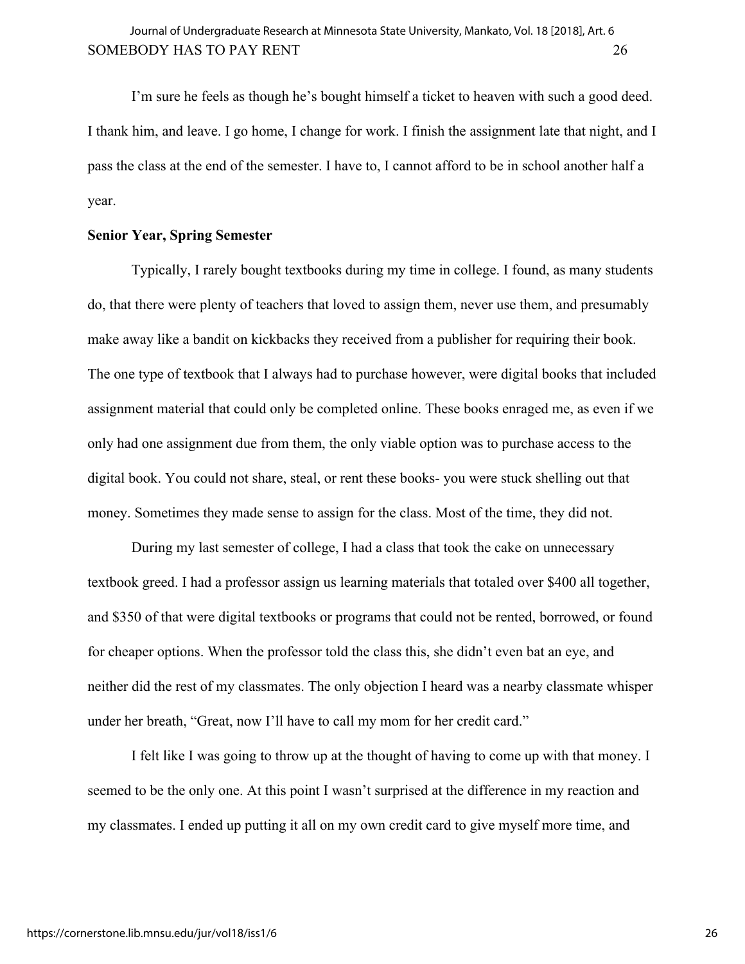I'm sure he feels as though he's bought himself a ticket to heaven with such a good deed. I thank him, and leave. I go home, I change for work. I finish the assignment late that night, and I pass the class at the end of the semester. I have to, I cannot afford to be in school another half a year.

# **Senior Year, Spring Semester**

Typically, I rarely bought textbooks during my time in college. I found, as many students do, that there were plenty of teachers that loved to assign them, never use them, and presumably make away like a bandit on kickbacks they received from a publisher for requiring their book. The one type of textbook that I always had to purchase however, were digital books that included assignment material that could only be completed online. These books enraged me, as even if we only had one assignment due from them, the only viable option was to purchase access to the digital book. You could not share, steal, or rent these books- you were stuck shelling out that money. Sometimes they made sense to assign for the class. Most of the time, they did not.

During my last semester of college, I had a class that took the cake on unnecessary textbook greed. I had a professor assign us learning materials that totaled over \$400 all together, and \$350 of that were digital textbooks or programs that could not be rented, borrowed, or found for cheaper options. When the professor told the class this, she didn't even bat an eye, and neither did the rest of my classmates. The only objection I heard was a nearby classmate whisper under her breath, "Great, now I'll have to call my mom for her credit card."

I felt like I was going to throw up at the thought of having to come up with that money. I seemed to be the only one. At this point I wasn't surprised at the difference in my reaction and my classmates. I ended up putting it all on my own credit card to give myself more time, and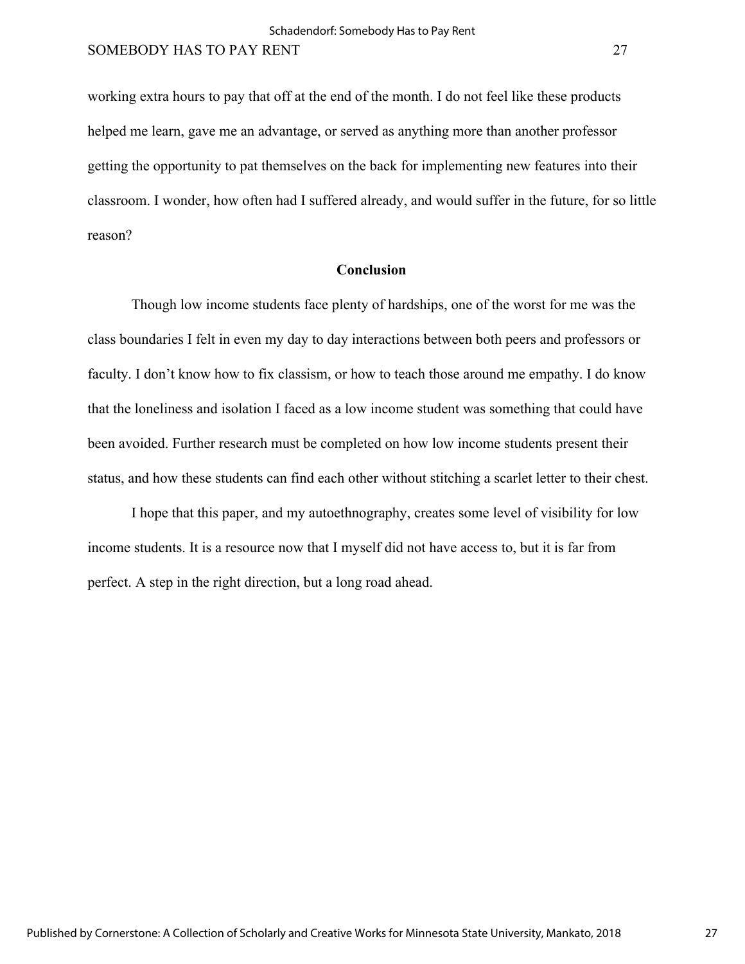working extra hours to pay that off at the end of the month. I do not feel like these products helped me learn, gave me an advantage, or served as anything more than another professor getting the opportunity to pat themselves on the back for implementing new features into their classroom. I wonder, how often had I suffered already, and would suffer in the future, for so little reason?

# **Conclusion**

Though low income students face plenty of hardships, one of the worst for me was the class boundaries I felt in even my day to day interactions between both peers and professors or faculty. I don't know how to fix classism, or how to teach those around me empathy. I do know that the loneliness and isolation I faced as a low income student was something that could have been avoided. Further research must be completed on how low income students present their status, and how these students can find each other without stitching a scarlet letter to their chest.

I hope that this paper, and my autoethnography, creates some level of visibility for low income students. It is a resource now that I myself did not have access to, but it is far from perfect. A step in the right direction, but a long road ahead.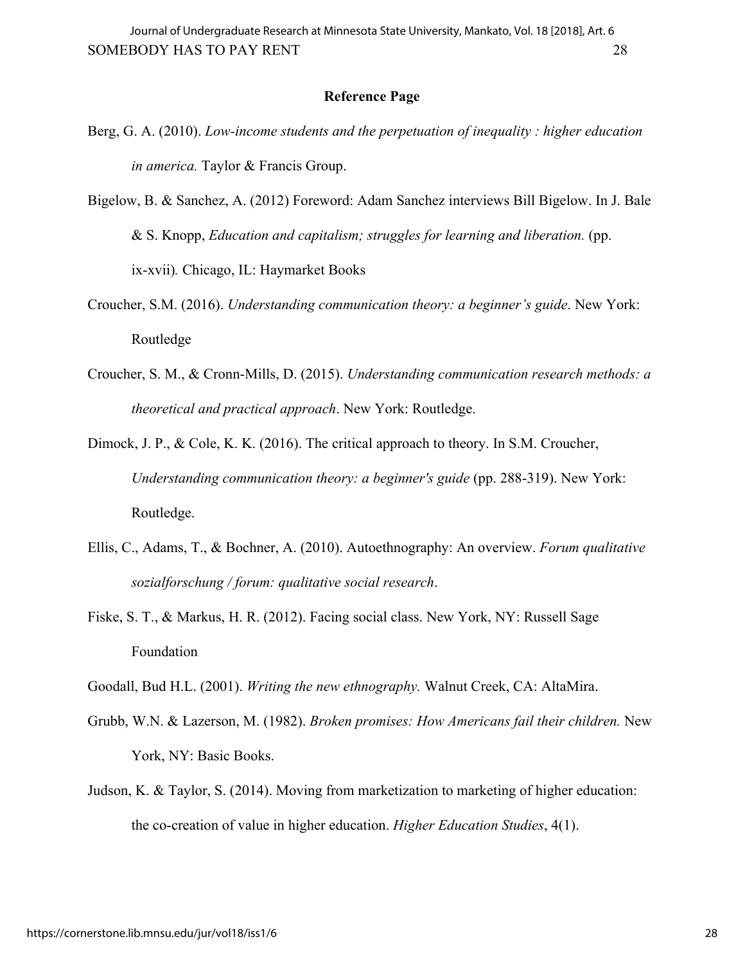## **Reference Page**

Berg, G. A. (2010). *Low-income students and the perpetuation of inequality : higher education in america.* Taylor & Francis Group.

Bigelow, B. & Sanchez, A. (2012) Foreword: Adam Sanchez interviews Bill Bigelow. In J. Bale & S. Knopp, *Education and capitalism; struggles for learning and liberation.* (pp. ix-xvii)*.* Chicago, IL: Haymarket Books

- Croucher, S.M. (2016). *Understanding communication theory: a beginner's guide*. New York: Routledge
- Croucher, S. M., & Cronn-Mills, D. (2015). *Understanding communication research methods: a theoretical and practical approach*. New York: Routledge.

Dimock, J. P., & Cole, K. K. (2016). The critical approach to theory. In S.M. Croucher, *Understanding communication theory: a beginner's guide* (pp. 288-319). New York: Routledge.

- Ellis, C., Adams, T., & Bochner, A. (2010). Autoethnography: An overview. *Forum qualitative sozialforschung / forum: qualitative social research*.
- Fiske, S. T., & Markus, H. R. (2012). Facing social class. New York, NY: Russell Sage Foundation
- Goodall, Bud H.L. (2001). *Writing the new ethnography.* Walnut Creek, CA: AltaMira.
- Grubb, W.N. & Lazerson, M. (1982). *Broken promises: How Americans fail their children.* New York, NY: Basic Books.
- Judson, K. & Taylor, S. (2014). Moving from marketization to marketing of higher education: the co-creation of value in higher education. *Higher Education Studies*, 4(1).